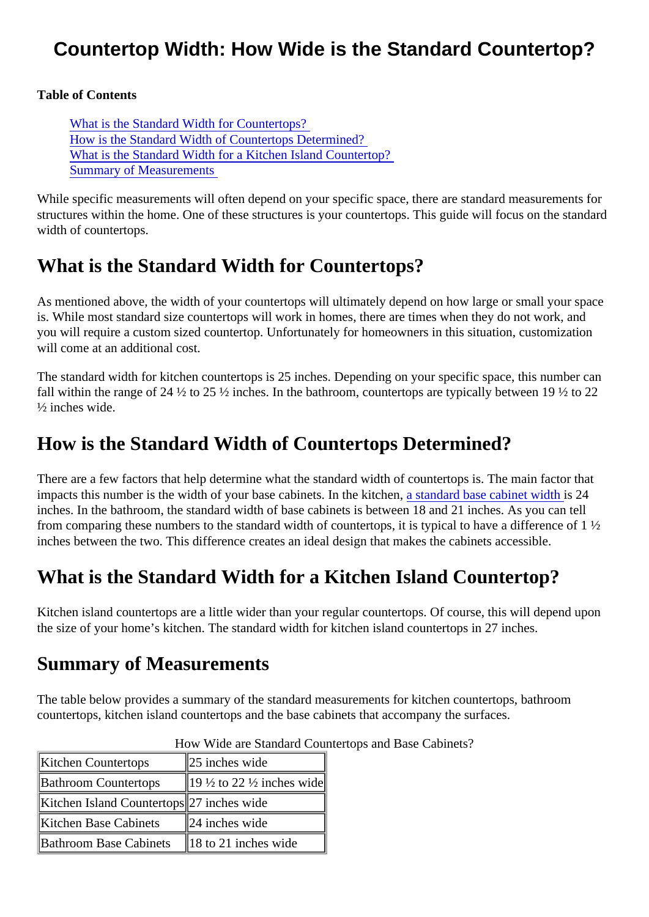#### Countertop Width: How Wide is the Standard Countertop?

Table of Contents

What is the Standard Width for Countertops? How is the Standard Width of Countertops Determined? What is the Standard Width for a Kitchen Island Countertop? Summary of Measurements

While specific measurements will often depend on your specific space, there are standard measurements structures within the home. One of these structures is your countertops. This guide will focus on the stand width of countertops.

# What is the Standard Width for Countertops?

As mentioned above, the width of your countertops will ultimately depend on how large or small your space is. While most standard size countertops will work in homes, there are times when they do not work, and you will require a custom sized countertop. Unfortunately for homeowners in this situation, customization will come at an additional cost.

The standard width for kitchen countertops is 25 inches. Depending on your specific space, this number can fall within the range of 24  $\frac{1}{2}$  to 25  $\frac{1}{2}$  inches. In the bathroom, countertops are typically between 19  $\frac{1}{2}$  to 22 ½ inches wide.

# How is the Standard Width of Countertops Determined?

There are a few factors that help determine what the standard width of countertops is. The main factor that impacts this number is the width of your base cabinets. In the kitahen and ard base cabinet width 24 inches. In the bathroom, the standard width of base cabinets is between 18 and 21 inches. As you can tell from comparing these numbers to the standard width of countertops, it is typical to have a difference of 1 ½ inches between the two. This difference creates an ideal design that makes the cabinets accessible.

# What is the Standard Width for a Kitchen Island Countertop?

Kitchen island countertops are a little wider than your regular countertops. Of course, this will depend upon the size of your home's kitchen. The standard width for kitchen island countertops in 27 inches.

#### Summary of Measurements

The table below provides a summary of the standard measurements for kitchen countertops, bathroom countertops, kitchen island countertops and the base cabinets that accompany the surfaces.

| Kitchen Countertops                         | 25 inches wide                                   |
|---------------------------------------------|--------------------------------------------------|
| <b>Bathroom Countertops</b>                 | $\parallel$ 19 ½ to 22 ½ inches wi $\parallel$ e |
| Kitchen Island Countertore7 inches wide     |                                                  |
| Kitchen Base Cabinets   24 inches wide      |                                                  |
| Bathroom Base Cabinets 18 to 21 inches wide |                                                  |

#### How Wide are Standard Countertops and Base Cabinets?